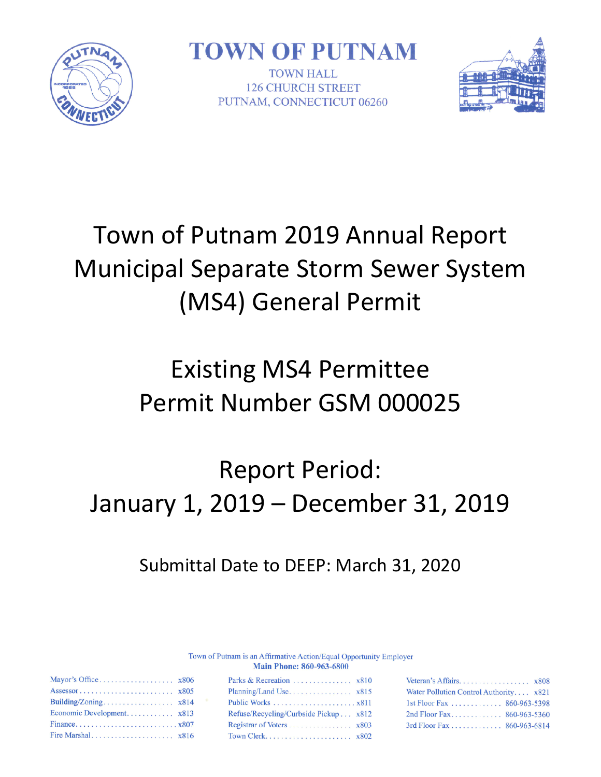

**TOWN OF PUTNAM** 

TOWN HALL **126 CHURCH STREET** PUTNAM, CONNECTICUT 06260



# Town of Putnam 2019 Annual Report Municipal Separate Storm Sewer System (MS4) General Permit

## Existing MS4 Permittee Permit Number GSM 000025

# Report Period: January 1, 2019 – December 31, 2019

## Submittal Date to DEEP: March 31, 2020

Town of Putnam is an Affirmative Action/Equal Opportunity Employer **Main Phone: 860-963-6800** 

| Water Pollution Control Authority x821 |  |
|----------------------------------------|--|
| 1st Floor Fax  860-963-5398            |  |
| 2nd Floor Fax 860-963-5360             |  |
| 3rd Floor Fax 860-963-6814             |  |

| Economic Development x813 |  |
|---------------------------|--|
| Financex807               |  |
|                           |  |

| Parks & Recreation $x810$             |  |
|---------------------------------------|--|
|                                       |  |
|                                       |  |
| Refuse/Recycling/Curbside Pickup x812 |  |
|                                       |  |
|                                       |  |
|                                       |  |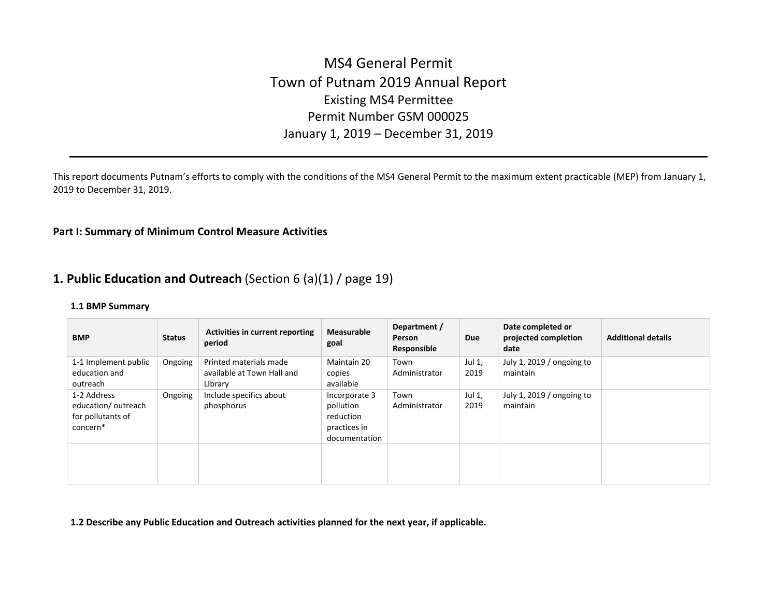## MS4 General Permit Town of Putnam 2019 Annual Report Existing MS4 Permittee Permit Number GSM 000025 January 1, 2019 – December 31, 2019

This report documents Putnam's efforts to comply with the conditions of the MS4 General Permit to the maximum extent practicable (MEP) from January 1, 2019 to December 31, 2019.

#### **Part I: Summary of Minimum Control Measure Activities**

### **1. Public Education and Outreach** (Section 6 (a)(1) / page 19)

#### **1.1 BMP Summary**

| <b>BMP</b>                                                         | <b>Status</b> | Activities in current reporting<br>period                       | <b>Measurable</b><br>goal                                                | Department /<br>Person<br>Responsible | Due            | Date completed or<br>projected completion<br>date | <b>Additional details</b> |
|--------------------------------------------------------------------|---------------|-----------------------------------------------------------------|--------------------------------------------------------------------------|---------------------------------------|----------------|---------------------------------------------------|---------------------------|
| 1-1 Implement public<br>education and<br>outreach                  | Ongoing       | Printed materials made<br>available at Town Hall and<br>Library | Maintain 20<br>copies<br>available                                       | Town<br>Administrator                 | Jul 1,<br>2019 | July 1, 2019 / ongoing to<br>maintain             |                           |
| 1-2 Address<br>education/outreach<br>for pollutants of<br>concern* | Ongoing       | Include specifics about<br>phosphorus                           | Incorporate 3<br>pollution<br>reduction<br>practices in<br>documentation | Town<br>Administrator                 | Jul 1,<br>2019 | July 1, 2019 / ongoing to<br>maintain             |                           |
|                                                                    |               |                                                                 |                                                                          |                                       |                |                                                   |                           |

**1.2 Describe any Public Education and Outreach activities planned for the next year, if applicable.**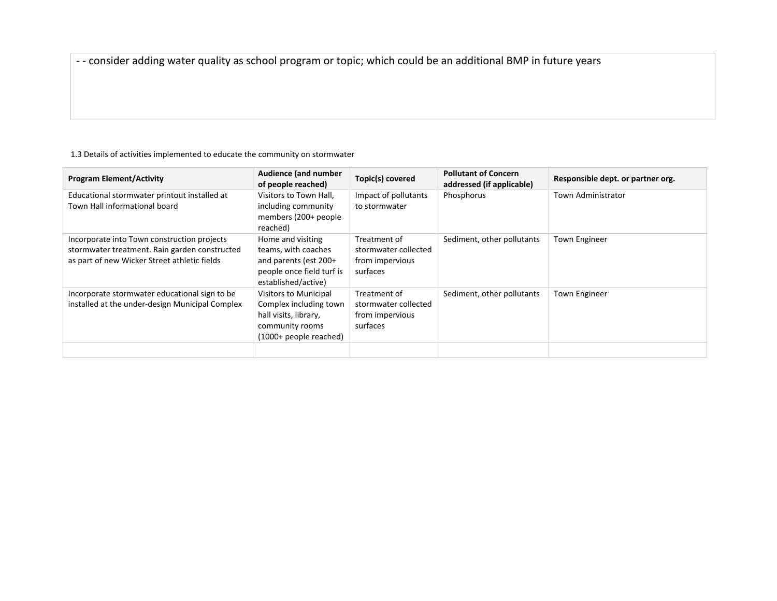- - consider adding water quality as school program or topic; which could be an additional BMP in future years

#### 1.3 Details of activities implemented to educate the community on stormwater

| <b>Program Element/Activity</b>                                                                                                              | <b>Audience (and number</b><br>of people reached)                                                                            | Topic(s) covered                                                    | <b>Pollutant of Concern</b><br>addressed (if applicable) | Responsible dept. or partner org. |
|----------------------------------------------------------------------------------------------------------------------------------------------|------------------------------------------------------------------------------------------------------------------------------|---------------------------------------------------------------------|----------------------------------------------------------|-----------------------------------|
| Educational stormwater printout installed at<br>Town Hall informational board                                                                | Visitors to Town Hall,<br>including community<br>members (200+ people<br>reached)                                            | Impact of pollutants<br>to stormwater                               | Phosphorus                                               | <b>Town Administrator</b>         |
| Incorporate into Town construction projects<br>stormwater treatment. Rain garden constructed<br>as part of new Wicker Street athletic fields | Home and visiting<br>teams, with coaches<br>and parents (est $200+$<br>people once field turf is<br>established/active)      | Treatment of<br>stormwater collected<br>from impervious<br>surfaces | Sediment, other pollutants                               | <b>Town Engineer</b>              |
| Incorporate stormwater educational sign to be<br>installed at the under-design Municipal Complex                                             | <b>Visitors to Municipal</b><br>Complex including town<br>hall visits, library,<br>community rooms<br>(1000+ people reached) | Treatment of<br>stormwater collected<br>from impervious<br>surfaces | Sediment, other pollutants                               | Town Engineer                     |
|                                                                                                                                              |                                                                                                                              |                                                                     |                                                          |                                   |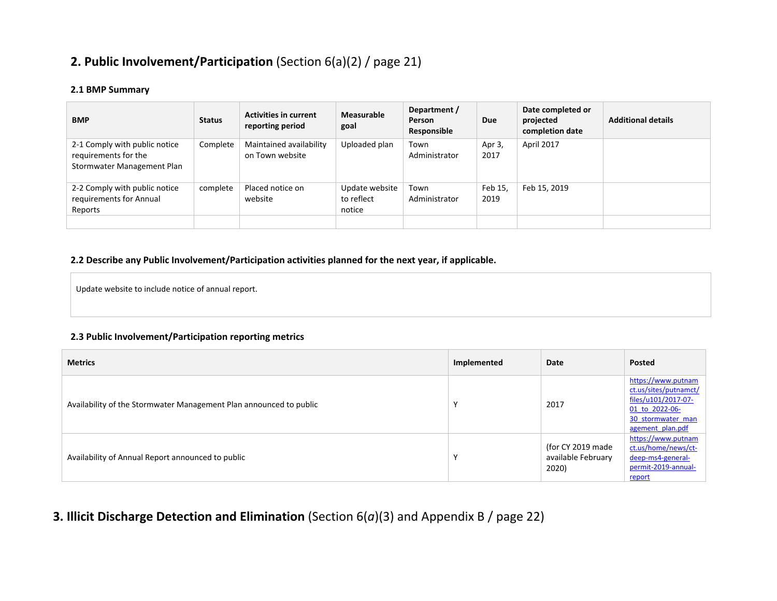## **2. Public Involvement/Participation** (Section 6(a)(2) / page 21)

#### **2.1 BMP Summary**

| <b>BMP</b>                                                                          | <b>Status</b> | <b>Activities in current</b><br>reporting period | Measurable<br>goal                     | Department /<br>Person<br>Responsible | <b>Due</b>      | Date completed or<br>projected<br>completion date | <b>Additional details</b> |
|-------------------------------------------------------------------------------------|---------------|--------------------------------------------------|----------------------------------------|---------------------------------------|-----------------|---------------------------------------------------|---------------------------|
| 2-1 Comply with public notice<br>requirements for the<br>Stormwater Management Plan | Complete      | Maintained availability<br>on Town website       | Uploaded plan                          | Town<br>Administrator                 | Apr 3,<br>2017  | April 2017                                        |                           |
| 2-2 Comply with public notice<br>requirements for Annual<br>Reports                 | complete      | Placed notice on<br>website                      | Update website<br>to reflect<br>notice | Town<br>Administrator                 | Feb 15.<br>2019 | Feb 15, 2019                                      |                           |

#### **2.2 Describe any Public Involvement/Participation activities planned for the next year, if applicable.**

Update website to include notice of annual report.

#### **2.3 Public Involvement/Participation reporting metrics**

| <b>Metrics</b>                                                     | Implemented | Date                                             | Posted                                                                                                                        |
|--------------------------------------------------------------------|-------------|--------------------------------------------------|-------------------------------------------------------------------------------------------------------------------------------|
| Availability of the Stormwater Management Plan announced to public |             | 2017                                             | https://www.putnam<br>ct.us/sites/putnamct/<br>files/u101/2017-07-<br>01 to 2022-06-<br>30 stormwater man<br>agement plan.pdf |
| Availability of Annual Report announced to public                  |             | (for CY 2019 made<br>available February<br>2020) | https://www.putnam<br>ct.us/home/news/ct-<br>deep-ms4-general-<br>permit-2019-annual-<br>report                               |

## **3. Illicit Discharge Detection and Elimination** (Section 6(*a*)(3) and Appendix B / page 22)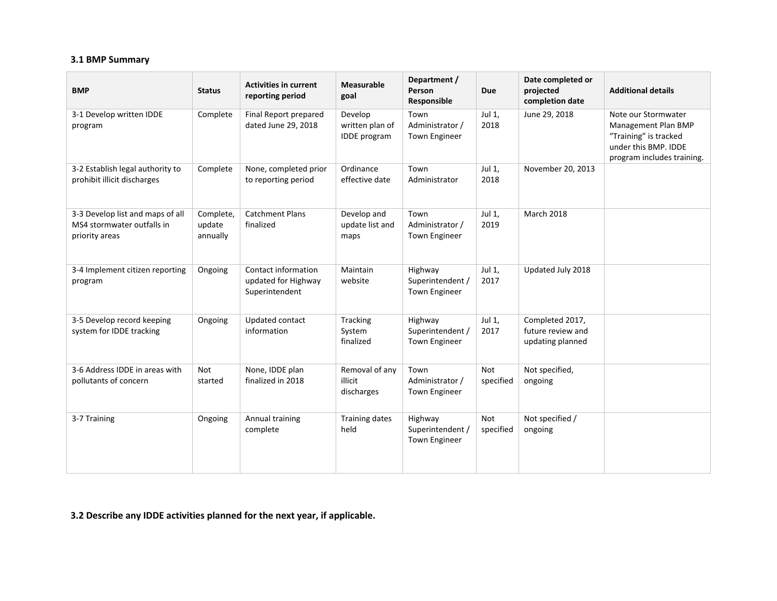#### **3.1 BMP Summary**

| <b>BMP</b>                                                                       | <b>Status</b>                   | <b>Activities in current</b><br>reporting period             | <b>Measurable</b><br>goal                         | Department /<br>Person<br><b>Responsible</b>        | <b>Due</b>              | Date completed or<br>projected<br>completion date        | <b>Additional details</b>                                                                                                 |
|----------------------------------------------------------------------------------|---------------------------------|--------------------------------------------------------------|---------------------------------------------------|-----------------------------------------------------|-------------------------|----------------------------------------------------------|---------------------------------------------------------------------------------------------------------------------------|
| 3-1 Develop written IDDE<br>program                                              | Complete                        | Final Report prepared<br>dated June 29, 2018                 | Develop<br>written plan of<br><b>IDDE</b> program | Town<br>Administrator /<br>Town Engineer            | Jul 1,<br>2018          | June 29, 2018                                            | Note our Stormwater<br>Management Plan BMP<br>"Training" is tracked<br>under this BMP. IDDE<br>program includes training. |
| 3-2 Establish legal authority to<br>prohibit illicit discharges                  | Complete                        | None, completed prior<br>to reporting period                 | Ordinance<br>effective date                       | Town<br>Administrator                               | Jul 1,<br>2018          | November 20, 2013                                        |                                                                                                                           |
| 3-3 Develop list and maps of all<br>MS4 stormwater outfalls in<br>priority areas | Complete,<br>update<br>annually | <b>Catchment Plans</b><br>finalized                          | Develop and<br>update list and<br>maps            | Town<br>Administrator /<br>Town Engineer            | Jul 1,<br>2019          | <b>March 2018</b>                                        |                                                                                                                           |
| 3-4 Implement citizen reporting<br>program                                       | Ongoing                         | Contact information<br>updated for Highway<br>Superintendent | Maintain<br>website                               | Highway<br>Superintendent /<br>Town Engineer        | Jul 1,<br>2017          | Updated July 2018                                        |                                                                                                                           |
| 3-5 Develop record keeping<br>system for IDDE tracking                           | Ongoing                         | Updated contact<br>information                               | Tracking<br>System<br>finalized                   | Highway<br>Superintendent /<br><b>Town Engineer</b> | Jul 1,<br>2017          | Completed 2017,<br>future review and<br>updating planned |                                                                                                                           |
| 3-6 Address IDDE in areas with<br>pollutants of concern                          | Not<br>started                  | None, IDDE plan<br>finalized in 2018                         | Removal of any<br>illicit<br>discharges           | Town<br>Administrator /<br>Town Engineer            | <b>Not</b><br>specified | Not specified,<br>ongoing                                |                                                                                                                           |
| 3-7 Training                                                                     | Ongoing                         | Annual training<br>complete                                  | <b>Training dates</b><br>held                     | Highway<br>Superintendent /<br>Town Engineer        | <b>Not</b><br>specified | Not specified /<br>ongoing                               |                                                                                                                           |

**3.2 Describe any IDDE activities planned for the next year, if applicable.**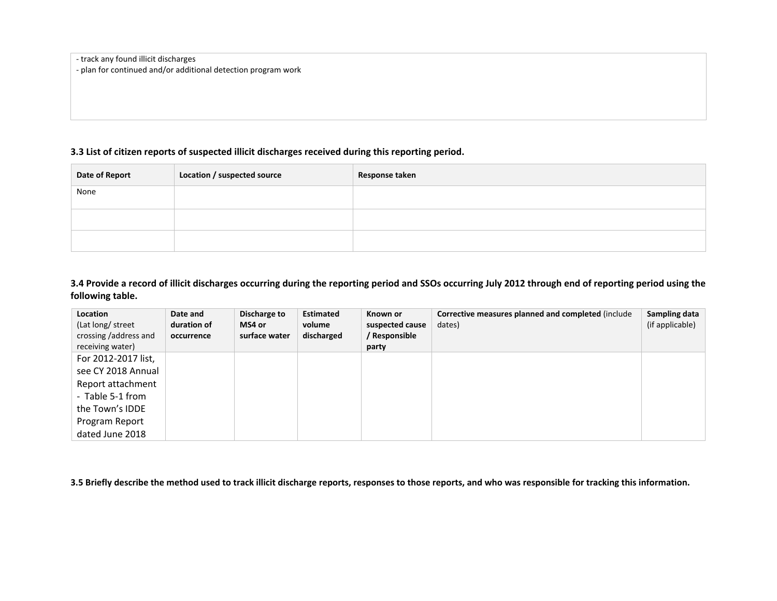- track any found illicit discharges

- plan for continued and/or additional detection program work

#### **3.3 List of citizen reports of suspected illicit discharges received during this reporting period.**

| Date of Report | Location / suspected source | Response taken |
|----------------|-----------------------------|----------------|
| None           |                             |                |
|                |                             |                |
|                |                             |                |
|                |                             |                |

**3.4 Provide a record of illicit discharges occurring during the reporting period and SSOs occurring July 2012 through end of reporting period using the following table.** 

| Location<br>(Lat long/ street<br>crossing /address and<br>receiving water)                            | Date and<br>duration of<br>occurrence | Discharge to<br>MS4 or<br>surface water | <b>Estimated</b><br>volume<br>discharged | Known or<br>suspected cause<br>/ Responsible<br>party | Corrective measures planned and completed (include<br>dates) | Sampling data<br>(if applicable) |
|-------------------------------------------------------------------------------------------------------|---------------------------------------|-----------------------------------------|------------------------------------------|-------------------------------------------------------|--------------------------------------------------------------|----------------------------------|
| For 2012-2017 list,<br>see CY 2018 Annual<br>Report attachment<br>- Table 5-1 from<br>the Town's IDDE |                                       |                                         |                                          |                                                       |                                                              |                                  |
| Program Report<br>dated June 2018                                                                     |                                       |                                         |                                          |                                                       |                                                              |                                  |

**3.5 Briefly describe the method used to track illicit discharge reports, responses to those reports, and who was responsible for tracking this information.**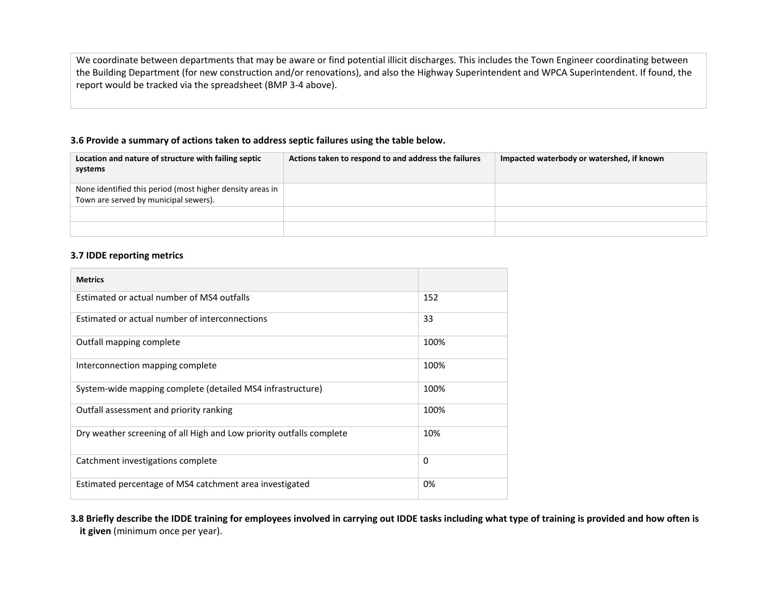We coordinate between departments that may be aware or find potential illicit discharges. This includes the Town Engineer coordinating between the Building Department (for new construction and/or renovations), and also the Highway Superintendent and WPCA Superintendent. If found, the report would be tracked via the spreadsheet (BMP 3-4 above).

#### **3.6 Provide a summary of actions taken to address septic failures using the table below.**

| Location and nature of structure with failing septic<br>systems                                    | Actions taken to respond to and address the failures | Impacted waterbody or watershed, if known |
|----------------------------------------------------------------------------------------------------|------------------------------------------------------|-------------------------------------------|
| None identified this period (most higher density areas in<br>Town are served by municipal sewers). |                                                      |                                           |
|                                                                                                    |                                                      |                                           |
|                                                                                                    |                                                      |                                           |

#### **3.7 IDDE reporting metrics**

| <b>Metrics</b>                                                       |          |
|----------------------------------------------------------------------|----------|
| Estimated or actual number of MS4 outfalls                           | 152      |
| Estimated or actual number of interconnections                       | 33       |
| Outfall mapping complete                                             | 100%     |
| Interconnection mapping complete                                     | 100%     |
| System-wide mapping complete (detailed MS4 infrastructure)           | 100%     |
| Outfall assessment and priority ranking                              | 100%     |
| Dry weather screening of all High and Low priority outfalls complete | 10%      |
| Catchment investigations complete                                    | $\Omega$ |
| Estimated percentage of MS4 catchment area investigated              | 0%       |

**3.8 Briefly describe the IDDE training for employees involved in carrying out IDDE tasks including what type of training is provided and how often is it given** (minimum once per year).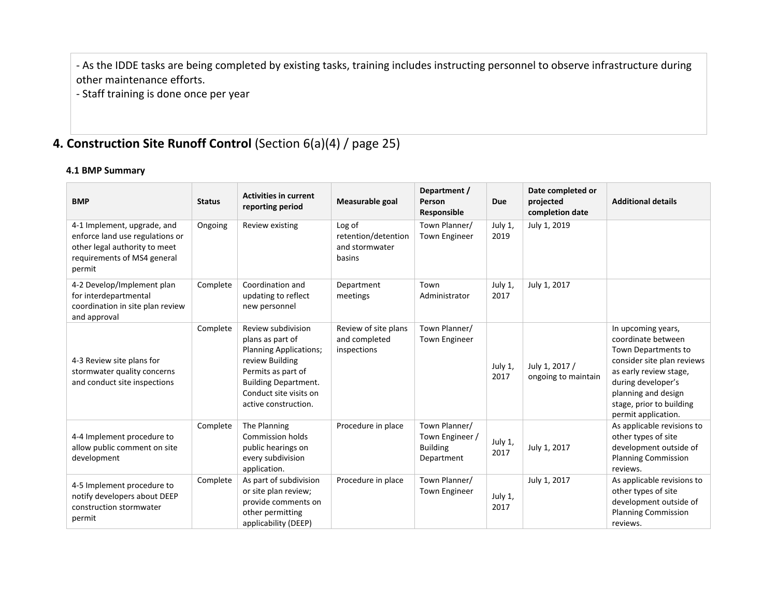- As the IDDE tasks are being completed by existing tasks, training includes instructing personnel to observe infrastructure during other maintenance efforts.

- Staff training is done once per year

## **4. Construction Site Runoff Control** (Section 6(a)(4) / page 25)

**4.1 BMP Summary** 

| <b>BMP</b>                                                                                                                               | <b>Status</b> | <b>Activities in current</b><br>reporting period                                                                                                                                                  | Measurable goal                                           | Department /<br>Person<br>Responsible                             | Due             | Date completed or<br>projected<br>completion date | <b>Additional details</b>                                                                                                                                                                                               |
|------------------------------------------------------------------------------------------------------------------------------------------|---------------|---------------------------------------------------------------------------------------------------------------------------------------------------------------------------------------------------|-----------------------------------------------------------|-------------------------------------------------------------------|-----------------|---------------------------------------------------|-------------------------------------------------------------------------------------------------------------------------------------------------------------------------------------------------------------------------|
| 4-1 Implement, upgrade, and<br>enforce land use regulations or<br>other legal authority to meet<br>requirements of MS4 general<br>permit | Ongoing       | Review existing                                                                                                                                                                                   | Log of<br>retention/detention<br>and stormwater<br>basins | Town Planner/<br><b>Town Engineer</b>                             | July 1,<br>2019 | July 1, 2019                                      |                                                                                                                                                                                                                         |
| 4-2 Develop/Implement plan<br>for interdepartmental<br>coordination in site plan review<br>and approval                                  | Complete      | Coordination and<br>updating to reflect<br>new personnel                                                                                                                                          | Department<br>meetings                                    | Town<br>Administrator                                             | July 1,<br>2017 | July 1, 2017                                      |                                                                                                                                                                                                                         |
| 4-3 Review site plans for<br>stormwater quality concerns<br>and conduct site inspections                                                 | Complete      | Review subdivision<br>plans as part of<br><b>Planning Applications;</b><br>review Building<br>Permits as part of<br><b>Building Department.</b><br>Conduct site visits on<br>active construction. | Review of site plans<br>and completed<br>inspections      | Town Planner/<br>Town Engineer                                    | July 1,<br>2017 | July 1, 2017 /<br>ongoing to maintain             | In upcoming years,<br>coordinate between<br>Town Departments to<br>consider site plan reviews<br>as early review stage,<br>during developer's<br>planning and design<br>stage, prior to building<br>permit application. |
| 4-4 Implement procedure to<br>allow public comment on site<br>development                                                                | Complete      | The Planning<br><b>Commission holds</b><br>public hearings on<br>every subdivision<br>application.                                                                                                | Procedure in place                                        | Town Planner/<br>Town Engineer /<br><b>Building</b><br>Department | July 1,<br>2017 | July 1, 2017                                      | As applicable revisions to<br>other types of site<br>development outside of<br><b>Planning Commission</b><br>reviews.                                                                                                   |
| 4-5 Implement procedure to<br>notify developers about DEEP<br>construction stormwater<br>permit                                          | Complete      | As part of subdivision<br>or site plan review;<br>provide comments on<br>other permitting<br>applicability (DEEP)                                                                                 | Procedure in place                                        | Town Planner/<br><b>Town Engineer</b>                             | July 1,<br>2017 | July 1, 2017                                      | As applicable revisions to<br>other types of site<br>development outside of<br><b>Planning Commission</b><br>reviews.                                                                                                   |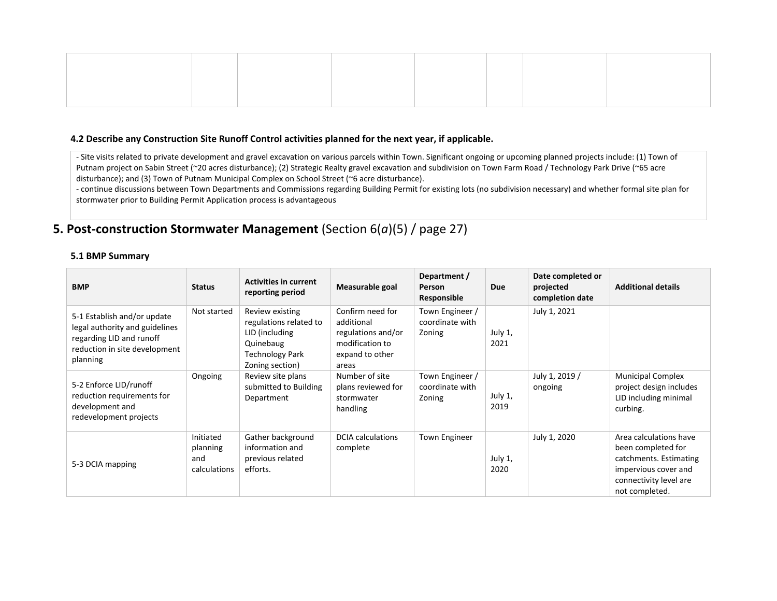#### **4.2 Describe any Construction Site Runoff Control activities planned for the next year, if applicable.**

- Site visits related to private development and gravel excavation on various parcels within Town. Significant ongoing or upcoming planned projects include: (1) Town of Putnam project on Sabin Street (~20 acres disturbance); (2) Strategic Realty gravel excavation and subdivision on Town Farm Road / Technology Park Drive (~65 acre disturbance); and (3) Town of Putnam Municipal Complex on School Street (~6 acre disturbance).

- continue discussions between Town Departments and Commissions regarding Building Permit for existing lots (no subdivision necessary) and whether formal site plan for stormwater prior to Building Permit Application process is advantageous

## **5. Post-construction Stormwater Management** (Section 6(*a*)(5) / page 27)

#### **5.1 BMP Summary**

| <b>BMP</b>                                                                                                                             | <b>Status</b>                                | <b>Activities in current</b><br>reporting period                                                                      | Measurable goal                                                                                     | Department /<br>Person<br>Responsible        | <b>Due</b>      | Date completed or<br>projected<br>completion date | <b>Additional details</b>                                                                                                                  |
|----------------------------------------------------------------------------------------------------------------------------------------|----------------------------------------------|-----------------------------------------------------------------------------------------------------------------------|-----------------------------------------------------------------------------------------------------|----------------------------------------------|-----------------|---------------------------------------------------|--------------------------------------------------------------------------------------------------------------------------------------------|
| 5-1 Establish and/or update<br>legal authority and guidelines<br>regarding LID and runoff<br>reduction in site development<br>planning | Not started                                  | Review existing<br>regulations related to<br>LID (including<br>Quinebaug<br><b>Technology Park</b><br>Zoning section) | Confirm need for<br>additional<br>regulations and/or<br>modification to<br>expand to other<br>areas | Town Engineer /<br>coordinate with<br>Zoning | July 1,<br>2021 | July 1, 2021                                      |                                                                                                                                            |
| 5-2 Enforce LID/runoff<br>reduction requirements for<br>development and<br>redevelopment projects                                      | Ongoing                                      | Review site plans<br>submitted to Building<br>Department                                                              | Number of site<br>plans reviewed for<br>stormwater<br>handling                                      | Town Engineer /<br>coordinate with<br>Zoning | July 1,<br>2019 | July 1, 2019 /<br>ongoing                         | <b>Municipal Complex</b><br>project design includes<br>LID including minimal<br>curbing.                                                   |
| 5-3 DCIA mapping                                                                                                                       | Initiated<br>planning<br>and<br>calculations | Gather background<br>information and<br>previous related<br>efforts.                                                  | <b>DCIA</b> calculations<br>complete                                                                | <b>Town Engineer</b>                         | July 1,<br>2020 | July 1, 2020                                      | Area calculations have<br>been completed for<br>catchments. Estimating<br>impervious cover and<br>connectivity level are<br>not completed. |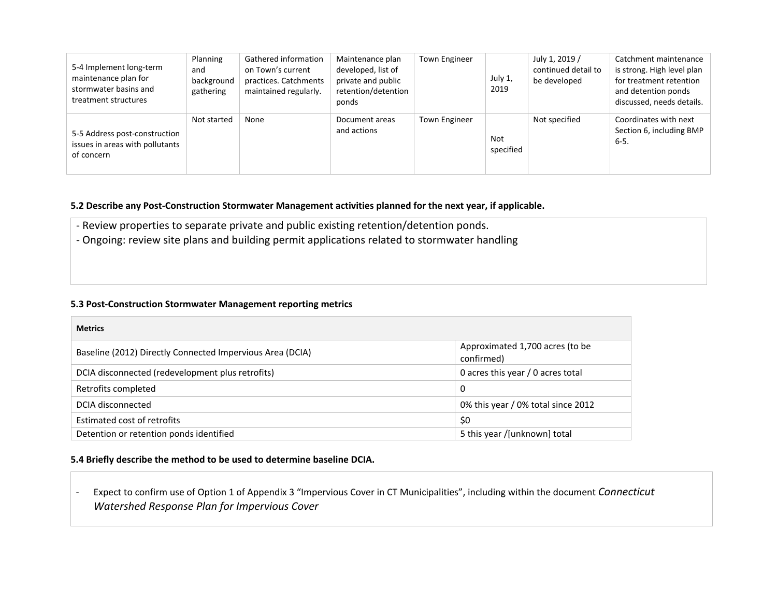| 5-4 Implement long-term<br>maintenance plan for<br>stormwater basins and<br>treatment structures | Planning<br>and<br>background<br>gathering | Gathered information<br>on Town's current<br>practices. Catchments<br>maintained regularly. | Maintenance plan<br>developed, list of<br>private and public<br>retention/detention<br>ponds | <b>Town Engineer</b> | July 1,<br>2019  | July 1, 2019 /<br>continued detail to<br>be developed | Catchment maintenance<br>is strong. High level plan<br>for treatment retention<br>and detention ponds<br>discussed, needs details. |
|--------------------------------------------------------------------------------------------------|--------------------------------------------|---------------------------------------------------------------------------------------------|----------------------------------------------------------------------------------------------|----------------------|------------------|-------------------------------------------------------|------------------------------------------------------------------------------------------------------------------------------------|
| 5-5 Address post-construction<br>issues in areas with pollutants<br>of concern                   | Not started                                | None                                                                                        | Document areas<br>and actions                                                                | <b>Town Engineer</b> | Not<br>specified | Not specified                                         | Coordinates with next<br>Section 6, including BMP<br>$6 - 5$                                                                       |

#### **5.2 Describe any Post-Construction Stormwater Management activities planned for the next year, if applicable.**

- Review properties to separate private and public existing retention/detention ponds.
- Ongoing: review site plans and building permit applications related to stormwater handling

#### **5.3 Post-Construction Stormwater Management reporting metrics**

| <b>Metrics</b>                                            |                                               |
|-----------------------------------------------------------|-----------------------------------------------|
| Baseline (2012) Directly Connected Impervious Area (DCIA) | Approximated 1,700 acres (to be<br>confirmed) |
| DCIA disconnected (redevelopment plus retrofits)          | 0 acres this year / 0 acres total             |
| Retrofits completed                                       | 0                                             |
| DCIA disconnected                                         | 0% this year / 0% total since 2012            |
| Estimated cost of retrofits                               | \$0                                           |
| Detention or retention ponds identified                   | 5 this year /[unknown] total                  |

#### **5.4 Briefly describe the method to be used to determine baseline DCIA.**

- Expect to confirm use of Option 1 of Appendix 3 "Impervious Cover in CT Municipalities", including within the document *Connecticut Watershed Response Plan for Impervious Cover*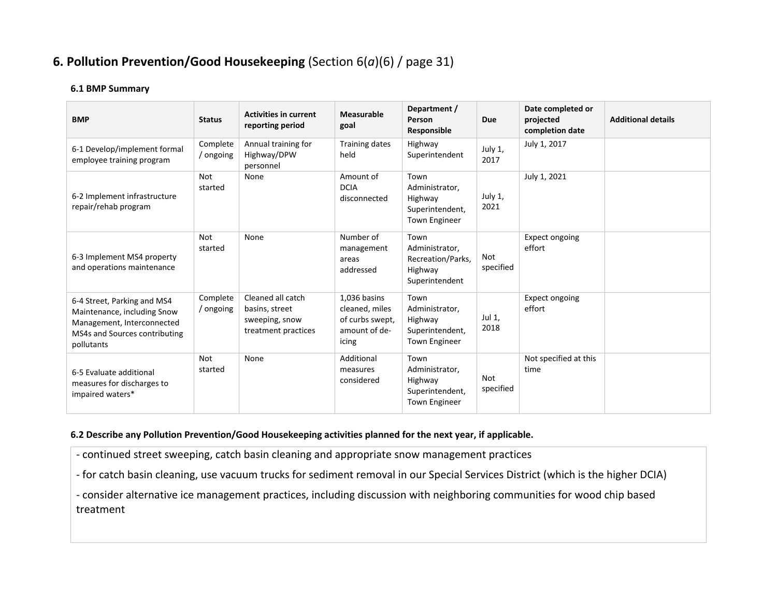## **6. Pollution Prevention/Good Housekeeping** (Section 6(*a*)(6) / page 31)

#### **6.1 BMP Summary**

| <b>BMP</b>                                                                                                                              | <b>Status</b>         | <b>Activities in current</b><br>reporting period                             | <b>Measurable</b><br>goal                                                   | Department /<br>Person<br>Responsible                                        | Due                     | Date completed or<br>projected<br>completion date | <b>Additional details</b> |
|-----------------------------------------------------------------------------------------------------------------------------------------|-----------------------|------------------------------------------------------------------------------|-----------------------------------------------------------------------------|------------------------------------------------------------------------------|-------------------------|---------------------------------------------------|---------------------------|
| 6-1 Develop/implement formal<br>employee training program                                                                               | Complete<br>ongoing   | Annual training for<br>Highway/DPW<br>personnel                              | <b>Training dates</b><br>held                                               | Highway<br>Superintendent                                                    | July 1,<br>2017         | July 1, 2017                                      |                           |
| 6-2 Implement infrastructure<br>repair/rehab program                                                                                    | <b>Not</b><br>started | None                                                                         | Amount of<br><b>DCIA</b><br>disconnected                                    | Town<br>Administrator,<br>Highway<br>Superintendent,<br><b>Town Engineer</b> | July 1,<br>2021         | July 1, 2021                                      |                           |
| 6-3 Implement MS4 property<br>and operations maintenance                                                                                | Not<br>started        | None                                                                         | Number of<br>management<br>areas<br>addressed                               | Town<br>Administrator,<br>Recreation/Parks,<br>Highway<br>Superintendent     | Not<br>specified        | <b>Expect ongoing</b><br>effort                   |                           |
| 6-4 Street, Parking and MS4<br>Maintenance, including Snow<br>Management, Interconnected<br>MS4s and Sources contributing<br>pollutants | Complete<br>/ ongoing | Cleaned all catch<br>basins, street<br>sweeping, snow<br>treatment practices | 1,036 basins<br>cleaned, miles<br>of curbs swept,<br>amount of de-<br>icing | Town<br>Administrator,<br>Highway<br>Superintendent,<br><b>Town Engineer</b> | Jul 1,<br>2018          | Expect ongoing<br>effort                          |                           |
| 6-5 Evaluate additional<br>measures for discharges to<br>impaired waters*                                                               | <b>Not</b><br>started | None                                                                         | Additional<br>measures<br>considered                                        | Town<br>Administrator,<br>Highway<br>Superintendent,<br><b>Town Engineer</b> | <b>Not</b><br>specified | Not specified at this<br>time                     |                           |

#### **6.2 Describe any Pollution Prevention/Good Housekeeping activities planned for the next year, if applicable.**

- continued street sweeping, catch basin cleaning and appropriate snow management practices

- for catch basin cleaning, use vacuum trucks for sediment removal in our Special Services District (which is the higher DCIA)

- consider alternative ice management practices, including discussion with neighboring communities for wood chip based treatment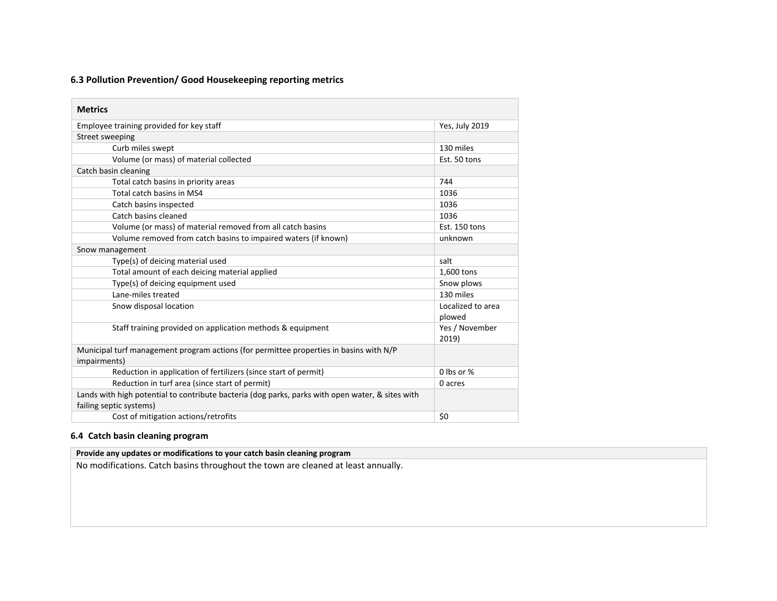#### **6.3 Pollution Prevention/ Good Housekeeping reporting metrics**

| <b>Metrics</b>                                                                                                              |                         |
|-----------------------------------------------------------------------------------------------------------------------------|-------------------------|
| Employee training provided for key staff                                                                                    | Yes, July 2019          |
| Street sweeping                                                                                                             |                         |
| Curb miles swept                                                                                                            | 130 miles               |
| Volume (or mass) of material collected                                                                                      | Est. 50 tons            |
| Catch basin cleaning                                                                                                        |                         |
| Total catch basins in priority areas                                                                                        | 744                     |
| Total catch basins in MS4                                                                                                   | 1036                    |
| Catch basins inspected                                                                                                      | 1036                    |
| Catch basins cleaned                                                                                                        | 1036                    |
| Volume (or mass) of material removed from all catch basins                                                                  | Est. 150 tons           |
| Volume removed from catch basins to impaired waters (if known)                                                              | unknown                 |
| Snow management                                                                                                             |                         |
| Type(s) of deicing material used                                                                                            | salt                    |
| Total amount of each deicing material applied                                                                               | 1,600 tons              |
| Type(s) of deicing equipment used                                                                                           | Snow plows              |
| Lane-miles treated                                                                                                          | 130 miles               |
| Snow disposal location                                                                                                      | Localized to area       |
|                                                                                                                             | plowed                  |
| Staff training provided on application methods & equipment                                                                  | Yes / November<br>2019) |
| Municipal turf management program actions (for permittee properties in basins with N/P                                      |                         |
| impairments)                                                                                                                |                         |
| Reduction in application of fertilizers (since start of permit)                                                             | 0 lbs or %              |
| Reduction in turf area (since start of permit)                                                                              | 0 acres                 |
| Lands with high potential to contribute bacteria (dog parks, parks with open water, & sites with<br>failing septic systems) |                         |
| Cost of mitigation actions/retrofits                                                                                        | \$0                     |

#### **6.4 Catch basin cleaning program**

#### **Provide any updates or modifications to your catch basin cleaning program**

No modifications. Catch basins throughout the town are cleaned at least annually.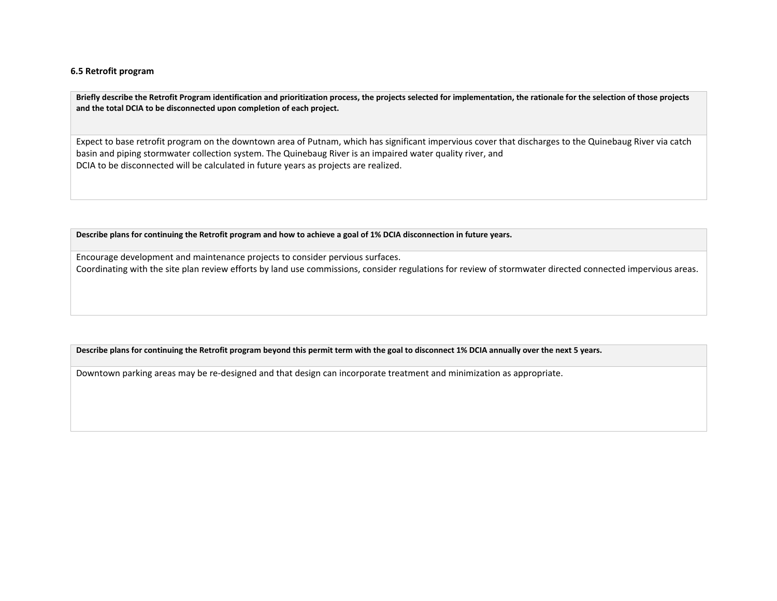#### **6.5 Retrofit program**

**Briefly describe the Retrofit Program identification and prioritization process, the projects selected for implementation, the rationale for the selection of those projects and the total DCIA to be disconnected upon completion of each project.**

Expect to base retrofit program on the downtown area of Putnam, which has significant impervious cover that discharges to the Quinebaug River via catch basin and piping stormwater collection system. The Quinebaug River is an impaired water quality river, and DCIA to be disconnected will be calculated in future years as projects are realized.

**Describe plans for continuing the Retrofit program and how to achieve a goal of 1% DCIA disconnection in future years.** 

Encourage development and maintenance projects to consider pervious surfaces. Coordinating with the site plan review efforts by land use commissions, consider regulations for review of stormwater directed connected impervious areas.

**Describe plans for continuing the Retrofit program beyond this permit term with the goal to disconnect 1% DCIA annually over the next 5 years.** 

Downtown parking areas may be re-designed and that design can incorporate treatment and minimization as appropriate.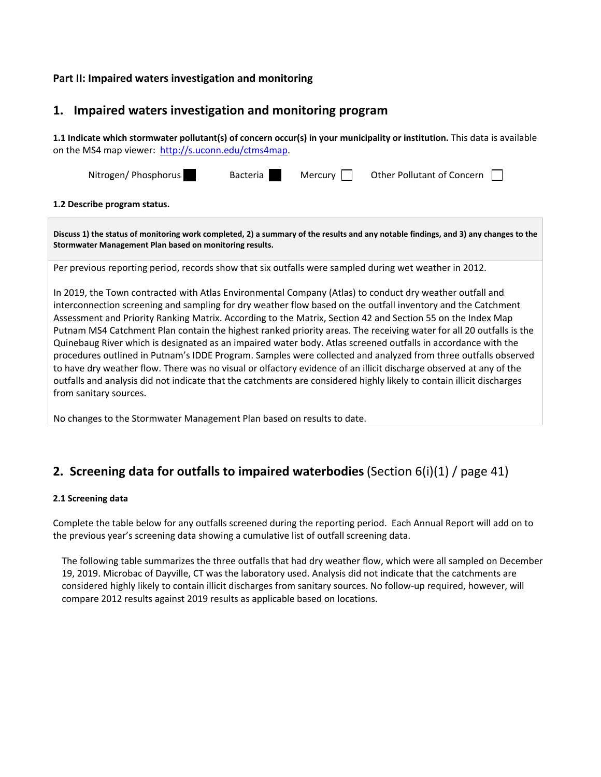#### **Part II: Impaired waters investigation and monitoring**

### **1. Impaired waters investigation and monitoring program**

**1.1 Indicate which stormwater pollutant(s) of concern occur(s) in your municipality or institution.** This data is available on the MS4 map viewer: [http://s.uconn.edu/ctms4map](http://www.nemo.uconn.edu/ms4).

| Nitrogen/ Phosphorus                                                                                                                                                                           | Bacteria | Mercury | Other Pollutant of Concern $\Box$ |  |  |  |  |
|------------------------------------------------------------------------------------------------------------------------------------------------------------------------------------------------|----------|---------|-----------------------------------|--|--|--|--|
| 1.2 Describe program status.                                                                                                                                                                   |          |         |                                   |  |  |  |  |
| Discuss 1) the status of monitoring work completed, 2) a summary of the results and any notable findings, and 3) any changes to the<br>Stormwater Management Plan based on monitoring results. |          |         |                                   |  |  |  |  |

Per previous reporting period, records show that six outfalls were sampled during wet weather in 2012.

In 2019, the Town contracted with Atlas Environmental Company (Atlas) to conduct dry weather outfall and interconnection screening and sampling for dry weather flow based on the outfall inventory and the Catchment Assessment and Priority Ranking Matrix. According to the Matrix, Section 42 and Section 55 on the Index Map Putnam MS4 Catchment Plan contain the highest ranked priority areas. The receiving water for all 20 outfalls is the Quinebaug River which is designated as an impaired water body. Atlas screened outfalls in accordance with the procedures outlined in Putnam's IDDE Program. Samples were collected and analyzed from three outfalls observed to have dry weather flow. There was no visual or olfactory evidence of an illicit discharge observed at any of the outfalls and analysis did not indicate that the catchments are considered highly likely to contain illicit discharges from sanitary sources.

No changes to the Stormwater Management Plan based on results to date.

## **2. Screening data for outfalls to impaired waterbodies**(Section 6(i)(1) / page 41)

#### **2.1 Screening data**

Complete the table below for any outfalls screened during the reporting period. Each Annual Report will add on to the previous year's screening data showing a cumulative list of outfall screening data.

The following table summarizes the three outfalls that had dry weather flow, which were all sampled on December 19, 2019. Microbac of Dayville, CT was the laboratory used. Analysis did not indicate that the catchments are considered highly likely to contain illicit discharges from sanitary sources. No follow-up required, however, will compare 2012 results against 2019 results as applicable based on locations.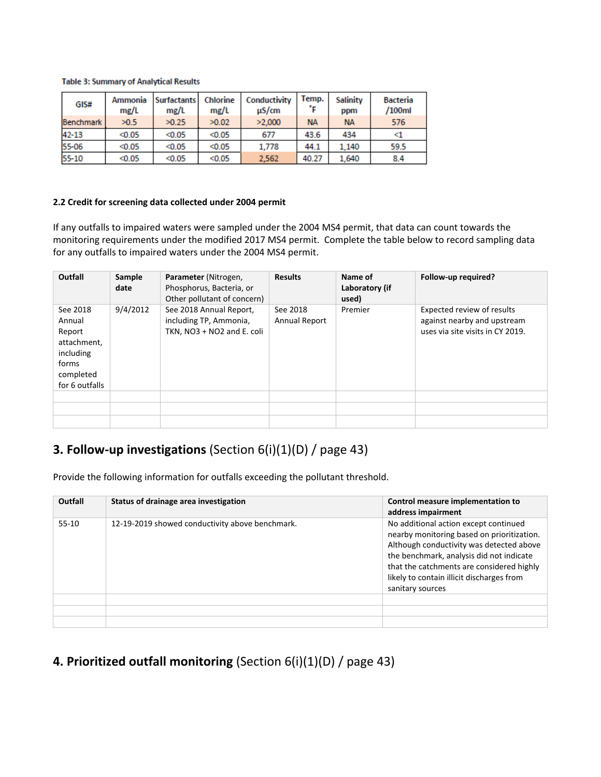#### **Table 3: Summary of Analytical Results**

| GIS#             | Ammonia<br>mg/L | Surfactants<br>mg/L | Chlorine<br>mg/L | Conductivity<br>uS/cm | Temp.<br>۰c | Salinity<br>ppm | <b>Bacteria</b><br>/100ml |
|------------------|-----------------|---------------------|------------------|-----------------------|-------------|-----------------|---------------------------|
| <b>Benchmark</b> | >0.5            | >0.25               | >0.02            | >2.000                | <b>NA</b>   | <b>NA</b>       | 576                       |
| 42-13            | < 0.05          | < 0.05              | < 0.05           | 677                   | 43.6        | 434             | <1                        |
| 55-06            | < 0.05          | < 0.05              | < 0.05           | 1.778                 | 44.1        | 1.140           | 59.5                      |
| 55-10            | < 0.05          | < 0.05              | < 0.05           | 2.562                 | 40.27       | 1.640           | 8.4                       |

#### **2.2 Credit for screening data collected under 2004 permit**

If any outfalls to impaired waters were sampled under the 2004 MS4 permit, that data can count towards the monitoring requirements under the modified 2017 MS4 permit. Complete the table below to record sampling data for any outfalls to impaired waters under the 2004 MS4 permit.

| Outfall                                                                                          | Sample<br>date | Parameter (Nitrogen,<br>Phosphorus, Bacteria, or<br>Other pollutant of concern) | <b>Results</b>            | Name of<br>Laboratory (if<br>used) | Follow-up required?                                                                           |
|--------------------------------------------------------------------------------------------------|----------------|---------------------------------------------------------------------------------|---------------------------|------------------------------------|-----------------------------------------------------------------------------------------------|
| See 2018<br>Annual<br>Report<br>attachment,<br>including<br>forms<br>completed<br>for 6 outfalls | 9/4/2012       | See 2018 Annual Report,<br>including TP, Ammonia,<br>TKN, NO3 + NO2 and E. coli | See 2018<br>Annual Report | Premier                            | Expected review of results<br>against nearby and upstream<br>uses via site visits in CY 2019. |
|                                                                                                  |                |                                                                                 |                           |                                    |                                                                                               |
|                                                                                                  |                |                                                                                 |                           |                                    |                                                                                               |
|                                                                                                  |                |                                                                                 |                           |                                    |                                                                                               |

## **3. Follow-up investigations** (Section 6(i)(1)(D) / page 43)

Provide the following information for outfalls exceeding the pollutant threshold.

| Outfall | Status of drainage area investigation           | Control measure implementation to<br>address impairment                                                                                                                                                                                                                                   |
|---------|-------------------------------------------------|-------------------------------------------------------------------------------------------------------------------------------------------------------------------------------------------------------------------------------------------------------------------------------------------|
| $55-10$ | 12-19-2019 showed conductivity above benchmark. | No additional action except continued<br>nearby monitoring based on prioritization.<br>Although conductivity was detected above<br>the benchmark, analysis did not indicate<br>that the catchments are considered highly<br>likely to contain illicit discharges from<br>sanitary sources |
|         |                                                 |                                                                                                                                                                                                                                                                                           |
|         |                                                 |                                                                                                                                                                                                                                                                                           |
|         |                                                 |                                                                                                                                                                                                                                                                                           |

## **4. Prioritized outfall monitoring** (Section 6(i)(1)(D) / page 43)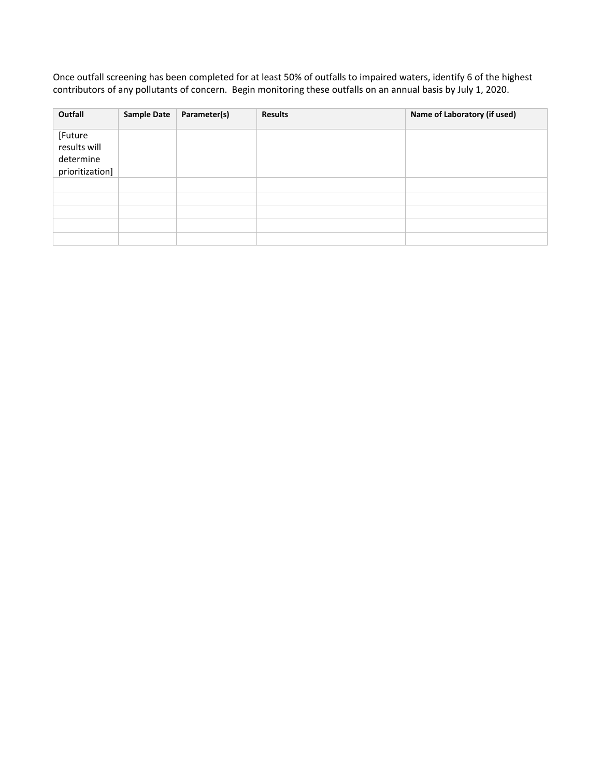Once outfall screening has been completed for at least 50% of outfalls to impaired waters, identify 6 of the highest contributors of any pollutants of concern. Begin monitoring these outfalls on an annual basis by July 1, 2020.

| Outfall                                                 | <b>Sample Date</b> | Parameter(s) | <b>Results</b> | Name of Laboratory (if used) |
|---------------------------------------------------------|--------------------|--------------|----------------|------------------------------|
| [Future<br>results will<br>determine<br>prioritization] |                    |              |                |                              |
|                                                         |                    |              |                |                              |
|                                                         |                    |              |                |                              |
|                                                         |                    |              |                |                              |
|                                                         |                    |              |                |                              |
|                                                         |                    |              |                |                              |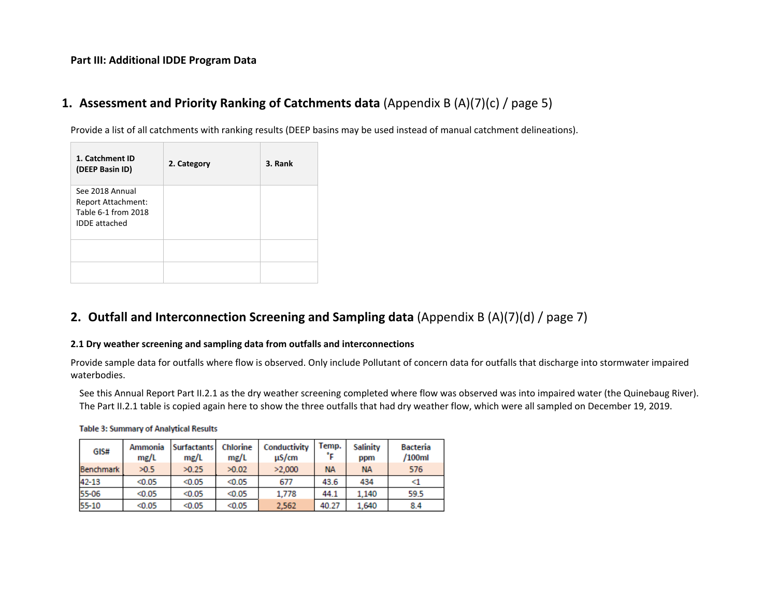#### **Part III: Additional IDDE Program Data**

## **1. Assessment and Priority Ranking of Catchments data** (Appendix B (A)(7)(c) / page 5)

Provide a list of all catchments with ranking results (DEEP basins may be used instead of manual catchment delineations).

| 1. Catchment ID<br>(DEEP Basin ID)                                                   | 2. Category | 3. Rank |
|--------------------------------------------------------------------------------------|-------------|---------|
| See 2018 Annual<br>Report Attachment:<br>Table 6-1 from 2018<br><b>IDDE</b> attached |             |         |
|                                                                                      |             |         |

## **2. Outfall and Interconnection Screening and Sampling data** (Appendix B (A)(7)(d) / page 7)

#### **2.1 Dry weather screening and sampling data from outfalls and interconnections**

Provide sample data for outfalls where flow is observed. Only include Pollutant of concern data for outfalls that discharge into stormwater impaired waterbodies.

See this Annual Report Part II.2.1 as the dry weather screening completed where flow was observed was into impaired water (the Quinebaug River). The Part II.2.1 table is copied again here to show the three outfalls that had dry weather flow, which were all sampled on December 19, 2019.

| GIS#             | Ammonia<br>mg/L | <b>Surfactants</b><br>me/L | Chlorine<br>mg/L | Conductivity<br>$\mu$ S/cm | Temp.<br>°F. | Salinity<br>ppm | Bacteria<br>/100ml |
|------------------|-----------------|----------------------------|------------------|----------------------------|--------------|-----------------|--------------------|
| <b>Benchmark</b> | >0.5            | >0.25                      | >0.02            | >2,000                     | <b>NA</b>    | <b>NA</b>       | 576                |
| 42-13            | < 0.05          | < 0.05                     | < 0.05           | 677                        | 43.6         | 434             |                    |
| 55-06            | < 0.05          | < 0.05                     | < 0.05           | 1,778                      | 44.1         | 1.140           | 59.5               |
| 55-10            | < 0.05          | < 0.05                     | < 0.05           | 2.562                      | 40.27        | 1.640           | 8.4                |

#### **Table 3: Summary of Analytical Results**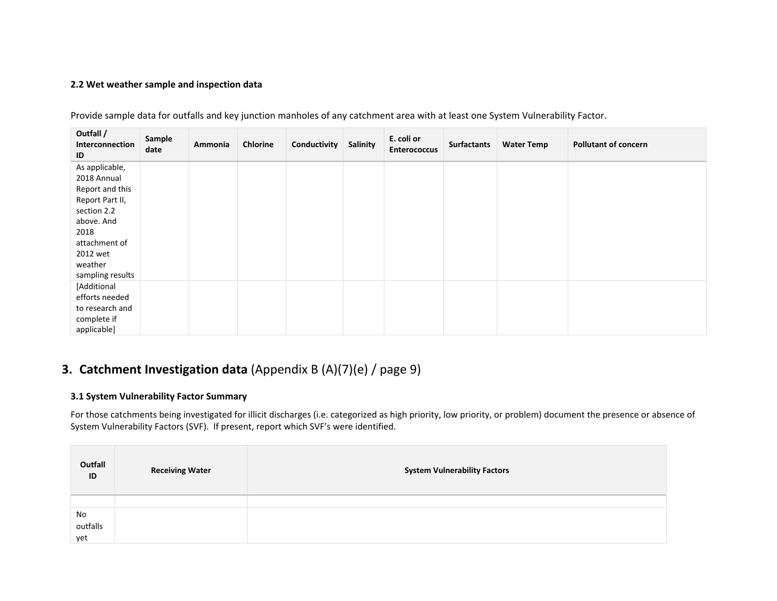#### **2.2 Wet weather sample and inspection data**

| Outfall /<br>Interconnection<br>ID | Sample<br>date | Ammonia | Chlorine | Conductivity | Salinity | E. coli or<br><b>Enterococcus</b> | <b>Surfactants</b> | <b>Water Temp</b> | <b>Pollutant of concern</b> |
|------------------------------------|----------------|---------|----------|--------------|----------|-----------------------------------|--------------------|-------------------|-----------------------------|
| As applicable,                     |                |         |          |              |          |                                   |                    |                   |                             |
| 2018 Annual                        |                |         |          |              |          |                                   |                    |                   |                             |
| Report and this                    |                |         |          |              |          |                                   |                    |                   |                             |
| Report Part II,                    |                |         |          |              |          |                                   |                    |                   |                             |
| section 2.2                        |                |         |          |              |          |                                   |                    |                   |                             |
| above. And                         |                |         |          |              |          |                                   |                    |                   |                             |
| 2018                               |                |         |          |              |          |                                   |                    |                   |                             |
| attachment of                      |                |         |          |              |          |                                   |                    |                   |                             |
| 2012 wet                           |                |         |          |              |          |                                   |                    |                   |                             |
| weather                            |                |         |          |              |          |                                   |                    |                   |                             |
| sampling results                   |                |         |          |              |          |                                   |                    |                   |                             |
| [Additional                        |                |         |          |              |          |                                   |                    |                   |                             |
| efforts needed                     |                |         |          |              |          |                                   |                    |                   |                             |
| to research and                    |                |         |          |              |          |                                   |                    |                   |                             |
| complete if                        |                |         |          |              |          |                                   |                    |                   |                             |
| applicable]                        |                |         |          |              |          |                                   |                    |                   |                             |

Provide sample data for outfalls and key junction manholes of any catchment area with at least one System Vulnerability Factor.

## **3. Catchment Investigation data** (Appendix B (A)(7)(e) / page 9)

#### **3.1 System Vulnerability Factor Summary**

For those catchments being investigated for illicit discharges (i.e. categorized as high priority, low priority, or problem) document the presence or absence of System Vulnerability Factors (SVF). If present, report which SVF's were identified.

| Outfall<br>ID | <b>Receiving Water</b> | <b>System Vulnerability Factors</b> |
|---------------|------------------------|-------------------------------------|
|               |                        |                                     |
| No            |                        |                                     |
| outfalls      |                        |                                     |
| yet           |                        |                                     |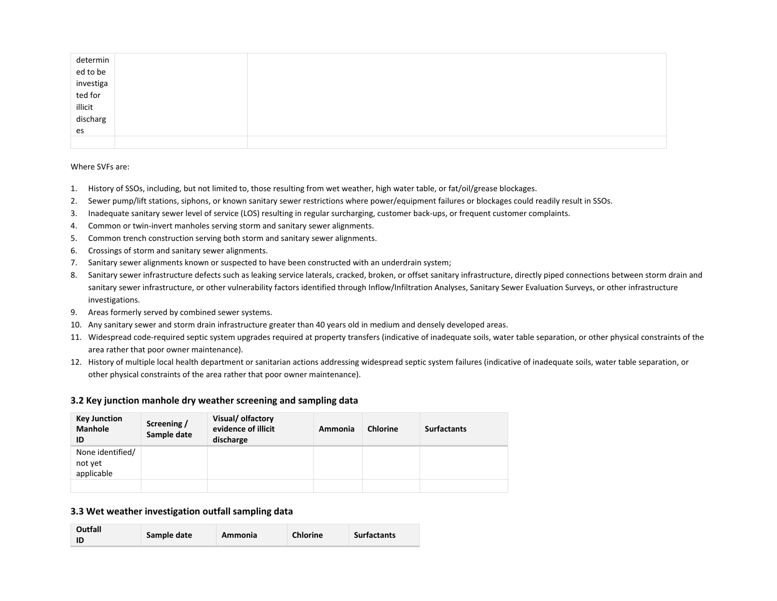| determin<br>ed to be<br>investiga<br>ted for<br>illicit<br>discharg |  |  |  |
|---------------------------------------------------------------------|--|--|--|
|                                                                     |  |  |  |
|                                                                     |  |  |  |
|                                                                     |  |  |  |
|                                                                     |  |  |  |
|                                                                     |  |  |  |
| es                                                                  |  |  |  |
|                                                                     |  |  |  |

Where SVFs are:

- 1. History of SSOs, including, but not limited to, those resulting from wet weather, high water table, or fat/oil/grease blockages.
- 2. Sewer pump/lift stations, siphons, or known sanitary sewer restrictions where power/equipment failures or blockages could readily result in SSOs.
- 3. Inadequate sanitary sewer level of service (LOS) resulting in regular surcharging, customer back-ups, or frequent customer complaints.
- 4. Common or twin-invert manholes serving storm and sanitary sewer alignments.
- 5. Common trench construction serving both storm and sanitary sewer alignments.
- 6. Crossings of storm and sanitary sewer alignments.
- 7. Sanitary sewer alignments known or suspected to have been constructed with an underdrain system;
- 8. Sanitary sewer infrastructure defects such as leaking service laterals, cracked, broken, or offset sanitary infrastructure, directly piped connections between storm drain and sanitary sewer infrastructure, or other vulnerability factors identified through Inflow/Infiltration Analyses, Sanitary Sewer Evaluation Surveys, or other infrastructure investigations.
- 9. Areas formerly served by combined sewer systems.
- 10. Any sanitary sewer and storm drain infrastructure greater than 40 years old in medium and densely developed areas.
- 11. Widespread code-required septic system upgrades required at property transfers (indicative of inadequate soils, water table separation, or other physical constraints of the area rather that poor owner maintenance).
- 12. History of multiple local health department or sanitarian actions addressing widespread septic system failures (indicative of inadequate soils, water table separation, or other physical constraints of the area rather that poor owner maintenance).

#### **3.2 Key junction manhole dry weather screening and sampling data**

| Key Junction<br><b>Manhole</b><br>ID      | Screening /<br>Sample date | Visual/ olfactory<br>evidence of illicit<br>discharge | Ammonia | <b>Chlorine</b> | <b>Surfactants</b> |
|-------------------------------------------|----------------------------|-------------------------------------------------------|---------|-----------------|--------------------|
| None identified/<br>not yet<br>applicable |                            |                                                       |         |                 |                    |
|                                           |                            |                                                       |         |                 |                    |

#### **3.3 Wet weather investigation outfall sampling data**

| Outfall<br>ID | Sample date | Ammonia | <b>Chlorine</b> | <b>Surfactants</b> |
|---------------|-------------|---------|-----------------|--------------------|
|---------------|-------------|---------|-----------------|--------------------|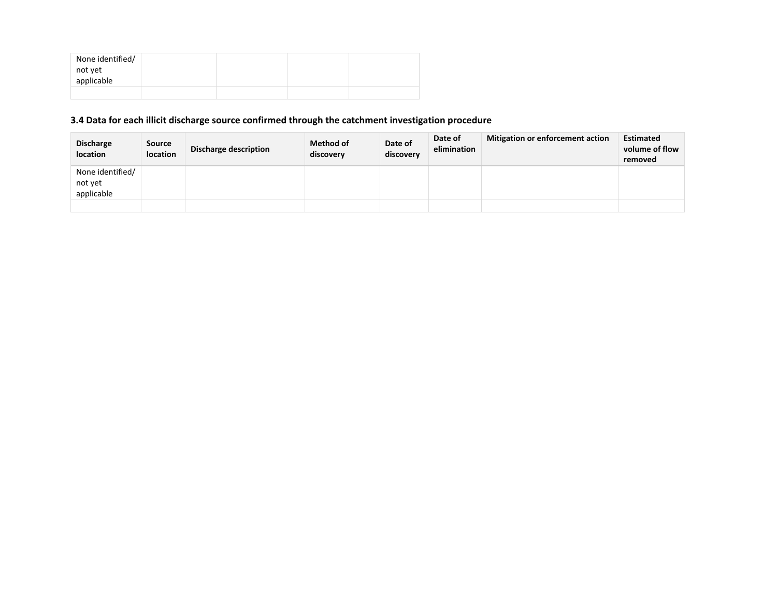| None identified/<br>not yet |  |  |
|-----------------------------|--|--|
| applicable                  |  |  |
|                             |  |  |

### **3.4 Data for each illicit discharge source confirmed through the catchment investigation procedure**

| <b>Discharge</b><br>location | <b>Source</b><br><b>location</b> | <b>Discharge description</b> | <b>Method of</b><br>discovery | Date of<br>discovery | Date of<br>elimination | Mitigation or enforcement action | <b>Estimated</b><br>volume of flow<br>removed |
|------------------------------|----------------------------------|------------------------------|-------------------------------|----------------------|------------------------|----------------------------------|-----------------------------------------------|
| None identified/<br>not yet  |                                  |                              |                               |                      |                        |                                  |                                               |
| applicable                   |                                  |                              |                               |                      |                        |                                  |                                               |